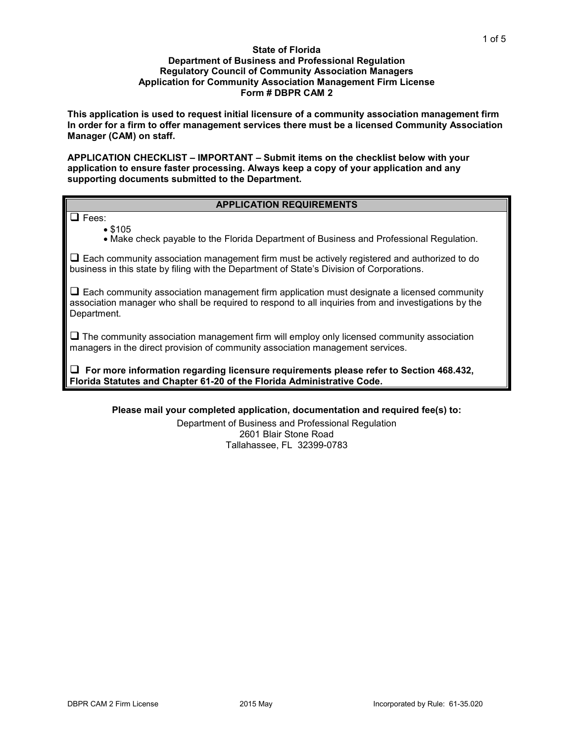#### **State of Florida Department of Business and Professional Regulation Regulatory Council of Community Association Managers Application for Community Association Management Firm License Form # DBPR CAM 2**

**This application is used to request initial licensure of a community association management firm In order for a firm to offer management services there must be a licensed Community Association Manager (CAM) on staff.**

**APPLICATION CHECKLIST – IMPORTANT – Submit items on the checklist below with your application to ensure faster processing. Always keep a copy of your application and any supporting documents submitted to the Department.** 

## **APPLICATION REQUIREMENTS**

 $\Box$  Fees:

• \$105 • Make check payable to the Florida Department of Business and Professional Regulation.

 $\Box$  Each community association management firm must be actively registered and authorized to do business in this state by filing with the Department of State's Division of Corporations.

 $\square$  Each community association management firm application must designate a licensed community association manager who shall be required to respond to all inquiries from and investigations by the Department.

 $\Box$  The community association management firm will employ only licensed community association managers in the direct provision of community association management services.

 **For more information regarding licensure requirements please refer to Section 468.432, Florida Statutes and Chapter 61-20 of the Florida Administrative Code.** 

**Please mail your completed application, documentation and required fee(s) to:**

Department of Business and Professional Regulation 2601 Blair Stone Road Tallahassee, FL 32399-0783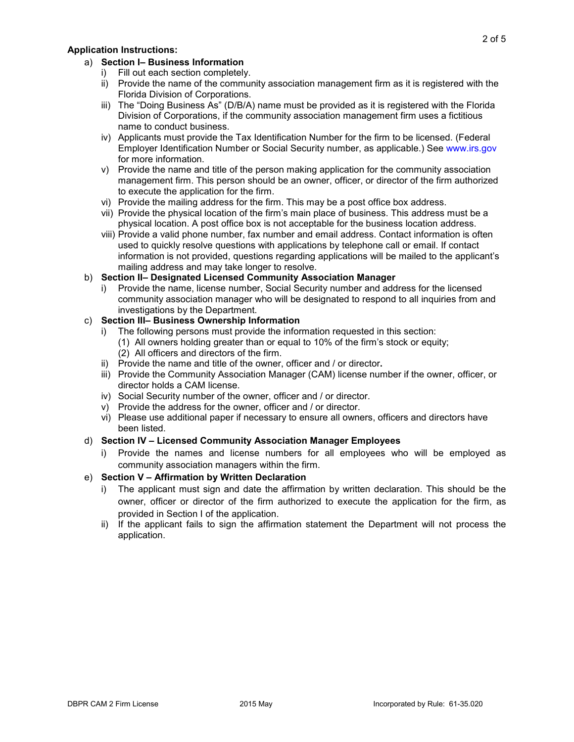# **Application Instructions:**

# a) **Section I– Business Information**

- i) Fill out each section completely.
- ii) Provide the name of the community association management firm as it is registered with the Florida Division of Corporations.
- iii) The "Doing Business As" (D/B/A) name must be provided as it is registered with the Florida Division of Corporations, if the community association management firm uses a fictitious name to conduct business.
- iv) Applicants must provide the Tax Identification Number for the firm to be licensed. (Federal Employer Identification Number or Social Security number, as applicable.) See [www.irs.gov](http://www.irs.gov/) for more information.
- v) Provide the name and title of the person making application for the community association management firm. This person should be an owner, officer, or director of the firm authorized to execute the application for the firm.
- vi) Provide the mailing address for the firm. This may be a post office box address.
- vii) Provide the physical location of the firm's main place of business. This address must be a physical location. A post office box is not acceptable for the business location address.
- viii) Provide a valid phone number, fax number and email address. Contact information is often used to quickly resolve questions with applications by telephone call or email. If contact information is not provided, questions regarding applications will be mailed to the applicant's mailing address and may take longer to resolve.

# b) **Section II– Designated Licensed Community Association Manager**

i) Provide the name, license number, Social Security number and address for the licensed community association manager who will be designated to respond to all inquiries from and investigations by the Department.

# c) **Section III– Business Ownership Information**

- i) The following persons must provide the information requested in this section:
	- (1) All owners holding greater than or equal to 10% of the firm's stock or equity; (2) All officers and directors of the firm.
- ii) Provide the name and title of the owner, officer and / or director**.**
- iii) Provide the Community Association Manager (CAM) license number if the owner, officer, or director holds a CAM license.
- iv) Social Security number of the owner, officer and / or director.
- v) Provide the address for the owner, officer and / or director.
- vi) Please use additional paper if necessary to ensure all owners, officers and directors have been listed.

## d) **Section IV – Licensed Community Association Manager Employees**

i) Provide the names and license numbers for all employees who will be employed as community association managers within the firm.

## e) **Section V – Affirmation by Written Declaration**

- i) The applicant must sign and date the affirmation by written declaration. This should be the owner, officer or director of the firm authorized to execute the application for the firm, as provided in Section I of the application.
- ii) If the applicant fails to sign the affirmation statement the Department will not process the application.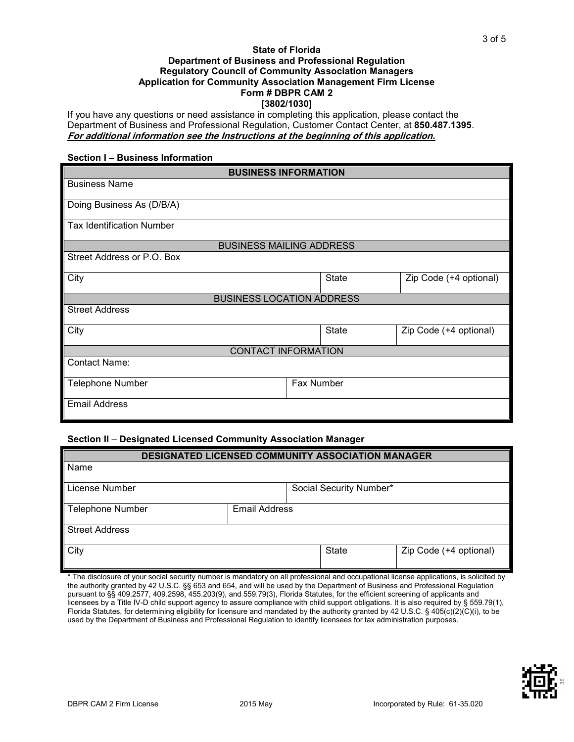#### **State of Florida Department of Business and Professional Regulation Regulatory Council of Community Association Managers Application for Community Association Management Firm License Form # DBPR CAM 2 [3802/1030]**

If you have any questions or need assistance in completing this application, please contact the Department of Business and Professional Regulation, Customer Contact Center, at **850.487.1395**. **For additional information see the Instructions at the beginning of this application.**

#### **Section I – Business Information**

| <b>BUSINESS INFORMATION</b>      |            |              |                        |  |
|----------------------------------|------------|--------------|------------------------|--|
| <b>Business Name</b>             |            |              |                        |  |
| Doing Business As (D/B/A)        |            |              |                        |  |
| <b>Tax Identification Number</b> |            |              |                        |  |
| <b>BUSINESS MAILING ADDRESS</b>  |            |              |                        |  |
| Street Address or P.O. Box       |            |              |                        |  |
| City                             |            | <b>State</b> | Zip Code (+4 optional) |  |
| <b>BUSINESS LOCATION ADDRESS</b> |            |              |                        |  |
| <b>Street Address</b>            |            |              |                        |  |
| City                             |            | <b>State</b> | Zip Code (+4 optional) |  |
| <b>CONTACT INFORMATION</b>       |            |              |                        |  |
| Contact Name:                    |            |              |                        |  |
| <b>Telephone Number</b>          | Fax Number |              |                        |  |
| <b>Email Address</b>             |            |              |                        |  |

#### **Section II** – **Designated Licensed Community Association Manager**

| <b>DESIGNATED LICENSED COMMUNITY ASSOCIATION MANAGER</b> |                      |  |                         |                        |
|----------------------------------------------------------|----------------------|--|-------------------------|------------------------|
| Name                                                     |                      |  |                         |                        |
| License Number                                           |                      |  | Social Security Number* |                        |
| <b>Telephone Number</b>                                  | <b>Email Address</b> |  |                         |                        |
| <b>Street Address</b>                                    |                      |  |                         |                        |
| City                                                     |                      |  | State                   | Zip Code (+4 optional) |

\* The disclosure of your social security number is mandatory on all professional and occupational license applications, is solicited by the authority granted by 42 U.S.C. §§ 653 and 654, and will be used by the Department of Business and Professional Regulation pursuant to §§ 409.2577, 409.2598, 455.203(9), and 559.79(3), Florida Statutes, for the efficient screening of applicants and licensees by a Title IV-D child support agency to assure compliance with child support obligations. It is also required by § 559.79(1), Florida Statutes, for determining eligibility for licensure and mandated by the authority granted by 42 U.S.C. § 405(c)(2)(C)(i), to be used by the Department of Business and Professional Regulation to identify licensees for tax administration purposes.

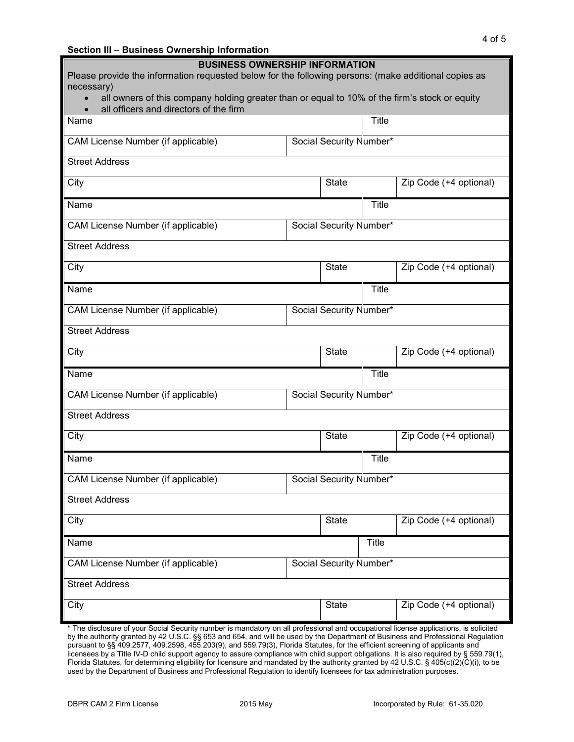| <b>BUSINESS OWNERSHIP INFORMATION</b><br>Please provide the information requested below for the following persons: (make additional copies as<br>necessary)<br>all owners of this company holding greater than or equal to 10% of the firm's stock or equity<br>all officers and directors of the firm |                         |                         |              |                        |
|--------------------------------------------------------------------------------------------------------------------------------------------------------------------------------------------------------------------------------------------------------------------------------------------------------|-------------------------|-------------------------|--------------|------------------------|
| Name                                                                                                                                                                                                                                                                                                   |                         |                         | Title        |                        |
| CAM License Number (if applicable)                                                                                                                                                                                                                                                                     | Social Security Number* |                         |              |                        |
| <b>Street Address</b>                                                                                                                                                                                                                                                                                  |                         |                         |              |                        |
| City                                                                                                                                                                                                                                                                                                   |                         | <b>State</b>            |              | Zip Code (+4 optional) |
| Name                                                                                                                                                                                                                                                                                                   |                         |                         | Title        |                        |
| CAM License Number (if applicable)                                                                                                                                                                                                                                                                     | Social Security Number* |                         |              |                        |
| <b>Street Address</b>                                                                                                                                                                                                                                                                                  |                         |                         |              |                        |
| City                                                                                                                                                                                                                                                                                                   |                         | <b>State</b>            |              | Zip Code (+4 optional) |
| Name                                                                                                                                                                                                                                                                                                   |                         |                         | Title        |                        |
| CAM License Number (if applicable)                                                                                                                                                                                                                                                                     | Social Security Number* |                         |              |                        |
| <b>Street Address</b>                                                                                                                                                                                                                                                                                  |                         |                         |              |                        |
| City                                                                                                                                                                                                                                                                                                   |                         | <b>State</b>            |              | Zip Code (+4 optional) |
| Name                                                                                                                                                                                                                                                                                                   |                         |                         | Title        |                        |
| CAM License Number (if applicable)                                                                                                                                                                                                                                                                     | Social Security Number* |                         |              |                        |
| <b>Street Address</b>                                                                                                                                                                                                                                                                                  |                         |                         |              |                        |
| City                                                                                                                                                                                                                                                                                                   |                         | <b>State</b>            |              | Zip Code (+4 optional) |
| Name                                                                                                                                                                                                                                                                                                   |                         |                         | Title        |                        |
| CAM License Number (if applicable)                                                                                                                                                                                                                                                                     |                         | Social Security Number* |              |                        |
| <b>Street Address</b>                                                                                                                                                                                                                                                                                  |                         |                         |              |                        |
| City                                                                                                                                                                                                                                                                                                   |                         | <b>State</b>            |              | Zip Code (+4 optional) |
| Name                                                                                                                                                                                                                                                                                                   |                         |                         | <b>Title</b> |                        |
| CAM License Number (if applicable)                                                                                                                                                                                                                                                                     |                         | Social Security Number* |              |                        |
| <b>Street Address</b>                                                                                                                                                                                                                                                                                  |                         |                         |              |                        |
| City                                                                                                                                                                                                                                                                                                   |                         | <b>State</b>            |              | Zip Code (+4 optional) |

\* The disclosure of your Social Security number is mandatory on all professional and occupational license applications, is solicited by the authority granted by 42 U.S.C. §§ 653 and 654, and will be used by the Department of Business and Professional Regulation pursuant to §§ 409.2577, 409.2598, 455.203(9), and 559.79(3), Florida Statutes, for the efficient screening of applicants and licensees by a Title IV-D child support agency to assure compliance with child support obligations. It is also required by § 559.79(1), Florida Statutes, for determining eligibility for licensure and mandated by the authority granted by 42 U.S.C. § 405(c)(2)(C)(i), to be used by the Department of Business and Professional Regulation to identify licensees for tax administration purposes.